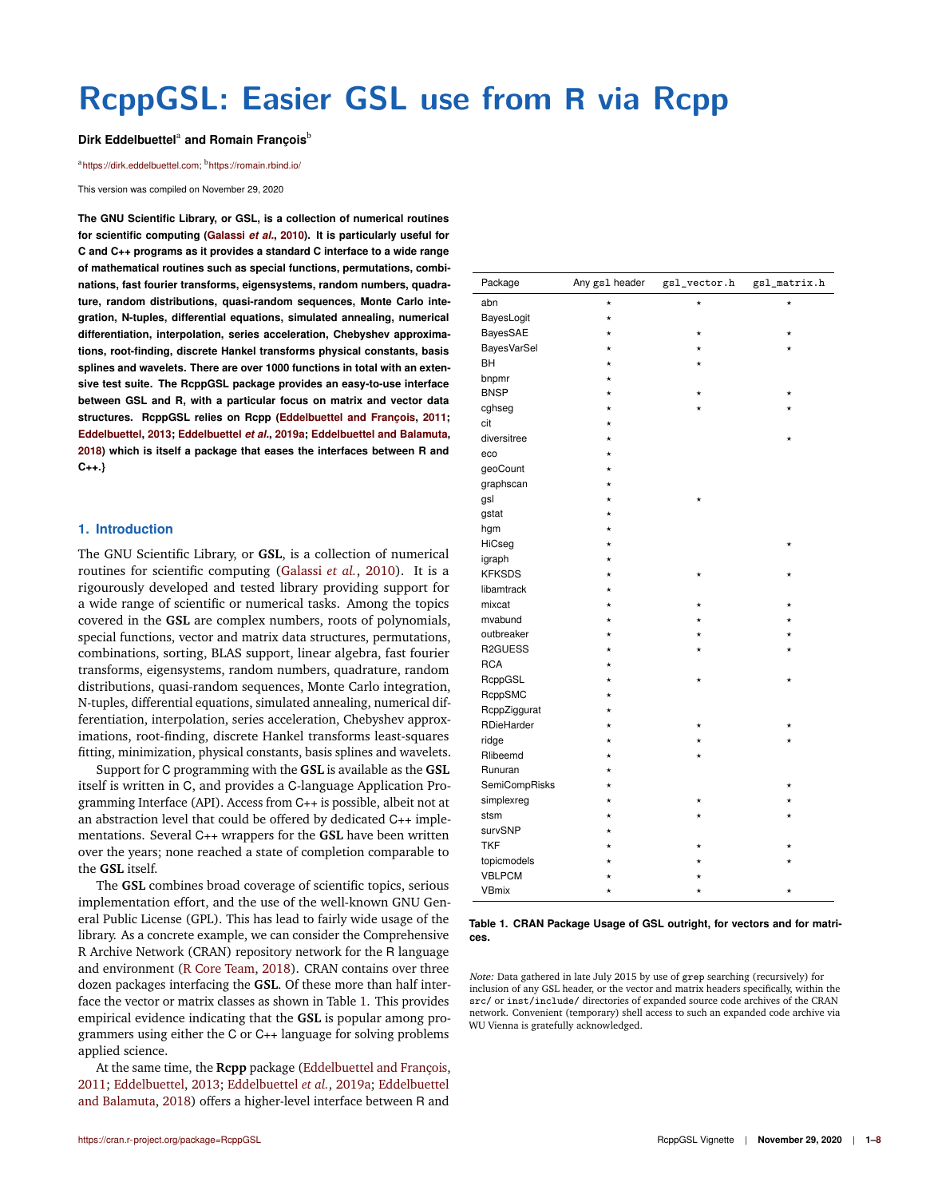# **RcppGSL: Easier GSL use from R via Rcpp**

### Dirk Eddelbuettel<sup>a</sup> and Romain François<sup>b</sup>

#### <sup>a</sup>https://dirk.eddelbuettel.com; <sup>b</sup>https://romain.rbind.io/

This version was compiled on November 29, 2020

**The GNU Scientific Library, or GSL, is a collection of numerical routines for scientific computing (Galassi** *et al.***, 2010). It is particularly useful for C and C++ programs as it provides a standard C interface to a wide range of mathematical routines such as special functions, permutations, combinations, fast fourier transforms, eigensystems, random numbers, quadrature, random distributions, quasi-random sequences, Monte Carlo integration, N-tuples, differential equations, simulated annealing, numerical differentiation, interpolation, series acceleration, Chebyshev approximations, root-finding, discrete Hankel transforms physical constants, basis splines and wavelets. There are over 1000 functions in total with an extensive test suite. The RcppGSL package provides an easy-to-use interface between GSL and R, with a particular focus on matrix and vector data structures. RcppGSL relies on Rcpp (Eddelbuettel and François, 2011; Eddelbuettel, 2013; Eddelbuettel** *et al.***, 2019a; Eddelbuettel and Balamuta, 2018) which is itself a package that eases the interfaces between R and C++.}**

#### **1. Introduction**

The GNU Scientific Library, or **GSL**, is a collection of numerical routines for scientific computing (Galassi *et al.*, 2010). It is a rigourously developed and tested library providing support for a wide range of scientific or numerical tasks. Among the topics covered in the **GSL** are complex numbers, roots of polynomials, special functions, vector and matrix data structures, permutations, combinations, sorting, BLAS support, linear algebra, fast fourier transforms, eigensystems, random numbers, quadrature, random distributions, quasi-random sequences, Monte Carlo integration, N-tuples, differential equations, simulated annealing, numerical differentiation, interpolation, series acceleration, Chebyshev approximations, root-finding, discrete Hankel transforms least-squares fitting, minimization, physical constants, basis splines and wavelets.

Support for C programming with the **GSL** is available as the **GSL** itself is written in C, and provides a C-language Application Programming Interface (API). Access from C++ is possible, albeit not at an abstraction level that could be offered by dedicated C++ implementations. Several C++ wrappers for the **GSL** have been written over the years; none reached a state of completion comparable to the **GSL** itself.

The **GSL** combines broad coverage of scientific topics, serious implementation effort, and the use of the well-known GNU General Public License (GPL). This has lead to fairly wide usage of the library. As a concrete example, we can consider the Comprehensive R Archive Network (CRAN) repository network for the R language and environment (R Core Team, 2018). CRAN contains over three dozen packages interfacing the **GSL**. Of these more than half interface the vector or matrix classes as shown in Table 1. This provides empirical evidence indicating that the **GSL** is popular among programmers using either the C or C++ language for solving problems applied science.

At the same time, the **Rcpp** package (Eddelbuettel and François, 2011; Eddelbuettel, 2013; Eddelbuettel *et al.*, 2019a; Eddelbuettel and Balamuta, 2018) offers a higher-level interface between R and

| https://cran.r-project.org/package=RcppGSL |  |  |  |  |  |
|--------------------------------------------|--|--|--|--|--|
|--------------------------------------------|--|--|--|--|--|

| Package            | Any gs1 header | $\verb gsl_vector.h $ | gsl_matrix.h |
|--------------------|----------------|-----------------------|--------------|
| abn                | $^{\star}$     |                       | $^{\star}$   |
| BayesLogit         | $^\star$       |                       |              |
| BayesSAE           | $\star$        | $\star$               | $\star$      |
| <b>BayesVarSel</b> | $^{\star}$     |                       |              |
| BH                 | $^{\star}$     | $^\star$              |              |
| bnpmr              | $\star$        |                       |              |
| <b>BNSP</b>        | $^{\star}$     |                       |              |
| cghseg             | $^{\star}$     |                       |              |
| cit                |                |                       |              |
| diversitree        | $^{\star}$     |                       |              |
| eco                | $\star$        |                       |              |
| geoCount           | $^\star$       |                       |              |
| graphscan          | $^{\star}$     |                       |              |
| gsl                | $\star$        | $\star$               |              |
| gstat              | $\star$        |                       |              |
| hgm                | $^{\star}$     |                       |              |
| HiCseg             | $^{\star}$     |                       | *            |
| igraph             |                |                       |              |
| <b>KFKSDS</b>      | $^{\star}$     | $^\star$              |              |
| libamtrack         | ÷              |                       |              |
| mixcat             | $^{\star}$     |                       |              |
| mvabund            | $^{\star}$     |                       |              |
| outbreaker         | $^{\star}$     |                       |              |
| R2GUESS            | ÷              |                       |              |
| <b>RCA</b>         | $^{\star}$     |                       |              |
| RcppGSL            | $^{\star}$     | $^\star$              | $^{\star}$   |
| RcppSMC            | $^{\star}$     |                       |              |
| RcppZiggurat       | $\star$        |                       |              |
| RDieHarder         | $^{\star}$     |                       |              |
| ridge              | $^{\star}$     |                       |              |
| Rlibeemd           | $\star$        | $^{\star}$            |              |
| Runuran            | $^{\star}$     |                       |              |
| SemiCompRisks      | $^\star$       |                       |              |
| simplexreg         | $^{\star}$     |                       |              |
| stsm               | $^{\star}$     |                       |              |
| survSNP            | $\star$        |                       |              |
| <b>TKF</b>         | ÷              | ÷                     |              |
| topicmodels        |                |                       |              |
| <b>VBLPCM</b>      |                |                       |              |
| <b>VBmix</b>       | $\star$        |                       | $\star$      |

#### **Table 1. CRAN Package Usage of GSL outright, for vectors and for matrices.**

Note: Data gathered in late July 2015 by use of grep searching (recursively) for inclusion of any GSL header, or the vector and matrix headers specifically, within the src/ or inst/include/ directories of expanded source code archives of the CRAN network. Convenient (temporary) shell access to such an expanded code archive via WU Vienna is gratefully acknowledged.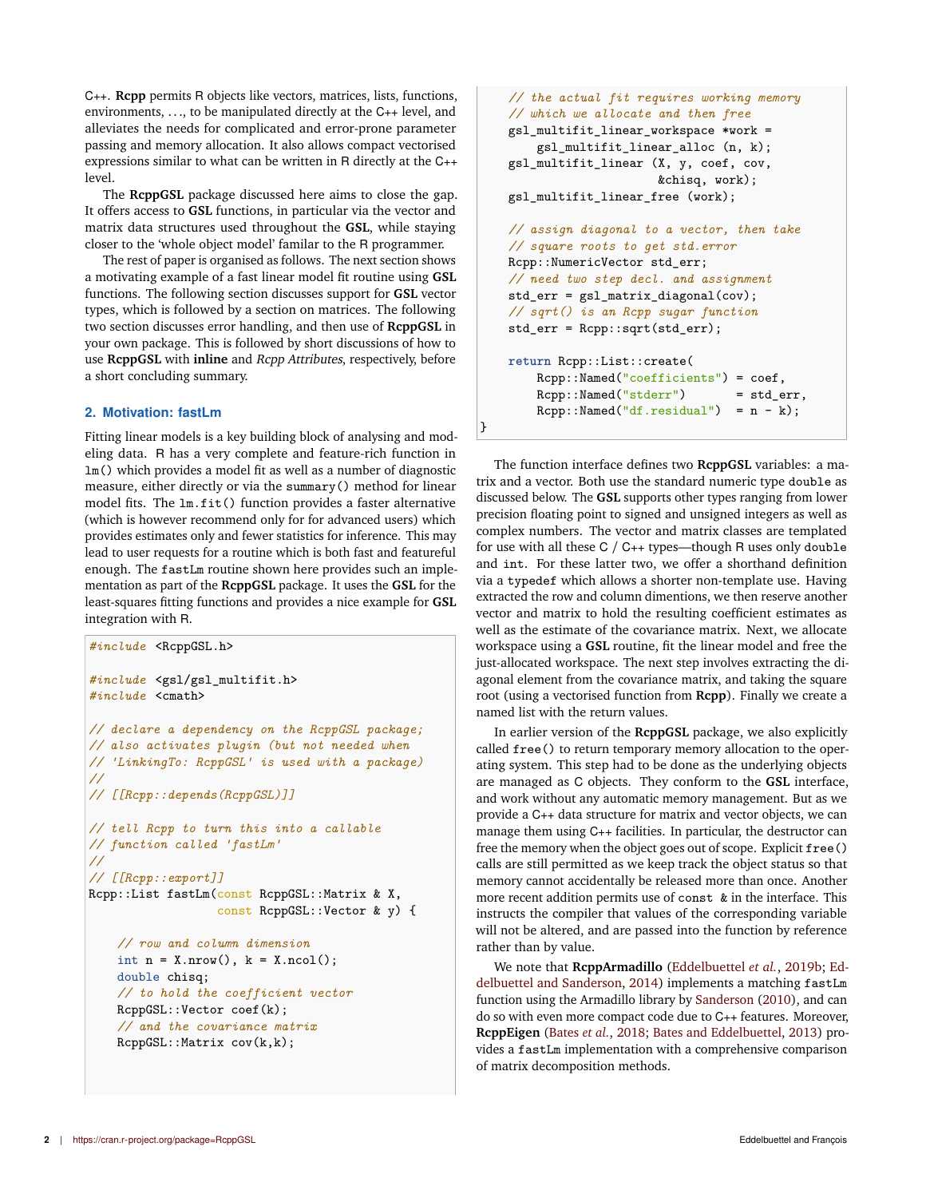C++. **Rcpp** permits R objects like vectors, matrices, lists, functions, environments, .. ., to be manipulated directly at the C++ level, and alleviates the needs for complicated and error-prone parameter passing and memory allocation. It also allows compact vectorised expressions similar to what can be written in R directly at the C++ level.

The **RcppGSL** package discussed here aims to close the gap. It offers access to **GSL** functions, in particular via the vector and matrix data structures used throughout the **GSL**, while staying closer to the 'whole object model' familar to the R programmer.

The rest of paper is organised as follows. The next section shows a motivating example of a fast linear model fit routine using **GSL** functions. The following section discusses support for **GSL** vector types, which is followed by a section on matrices. The following two section discusses error handling, and then use of **RcppGSL** in your own package. This is followed by short discussions of how to use **RcppGSL** with **inline** and Rcpp Attributes, respectively, before a short concluding summary.

# **2. Motivation: fastLm**

Fitting linear models is a key building block of analysing and modeling data. R has a very complete and feature-rich function in lm() which provides a model fit as well as a number of diagnostic measure, either directly or via the summary() method for linear model fits. The lm.fit() function provides a faster alternative (which is however recommend only for for advanced users) which provides estimates only and fewer statistics for inference. This may lead to user requests for a routine which is both fast and featureful enough. The fastLm routine shown here provides such an implementation as part of the **RcppGSL** package. It uses the **GSL** for the least-squares fitting functions and provides a nice example for **GSL** integration with R.

```
#include <RcppGSL.h>
#include <gsl/gsl_multifit.h>
#include <cmath>
// declare a dependency on the RcppGSL package;
// also activates plugin (but not needed when
// 'LinkingTo: RcppGSL' is used with a package)
//
// [[Rcpp::depends(RcppGSL)]]
// tell Rcpp to turn this into a callable
// function called 'fastLm'
//
// [[Rcpp::export]]
Rcpp::List fastLm(const RcppGSL::Matrix & X,
                  const RcppGSL::Vector & y) {
    // row and column dimension
    int n = X.nrow(), k = X.ncol();
    double chisq;
    // to hold the coefficient vector
   RcppGSL::Vector coef(k);
    // and the covariance matrix
```

```
// the actual fit requires working memory
    // which we allocate and then free
    gsl_multifit_linear_workspace *work =
        gsl_multifit_linear_alloc (n, k);
    gsl_multifit_linear (X, y, coef, cov,
                         &chisq, work);
    gsl_multifit_linear_free (work);
    // assign diagonal to a vector, then take
    // square roots to get std.error
    Rcpp::NumericVector std_err;
    // need two step decl. and assignment
    std_err = gsl_matrix_diagonal(cov);
    // sqrt() is an Rcpp sugar function
    std_err = Rcpp::sqrt(std_err);
    return Rcpp::List::create(
        Rcpp::Named("coefficients") = coef,
        Rcpp::Named("stderr") = std err,
        Rcpp::Named("df.residual") = n - k);}
```
The function interface defines two **RcppGSL** variables: a matrix and a vector. Both use the standard numeric type double as discussed below. The **GSL** supports other types ranging from lower precision floating point to signed and unsigned integers as well as complex numbers. The vector and matrix classes are templated for use with all these C / C++ types—though R uses only double and int. For these latter two, we offer a shorthand definition via a typedef which allows a shorter non-template use. Having extracted the row and column dimentions, we then reserve another vector and matrix to hold the resulting coefficient estimates as well as the estimate of the covariance matrix. Next, we allocate workspace using a **GSL** routine, fit the linear model and free the just-allocated workspace. The next step involves extracting the diagonal element from the covariance matrix, and taking the square root (using a vectorised function from **Rcpp**). Finally we create a named list with the return values.

In earlier version of the **RcppGSL** package, we also explicitly called free() to return temporary memory allocation to the operating system. This step had to be done as the underlying objects are managed as C objects. They conform to the **GSL** interface, and work without any automatic memory management. But as we provide a C++ data structure for matrix and vector objects, we can manage them using C++ facilities. In particular, the destructor can free the memory when the object goes out of scope. Explicit free() calls are still permitted as we keep track the object status so that memory cannot accidentally be released more than once. Another more recent addition permits use of const & in the interface. This instructs the compiler that values of the corresponding variable will not be altered, and are passed into the function by reference rather than by value.

We note that **RcppArmadillo** (Eddelbuettel *et al.*, 2019b; Eddelbuettel and Sanderson, 2014) implements a matching fastLm function using the Armadillo library by Sanderson (2010), and can do so with even more compact code due to C++ features. Moreover, **RcppEigen** (Bates *et al.*, 2018; Bates and Eddelbuettel, 2013) provides a fastLm implementation with a comprehensive comparison of matrix decomposition methods.

RcppGSL::Matrix cov(k,k);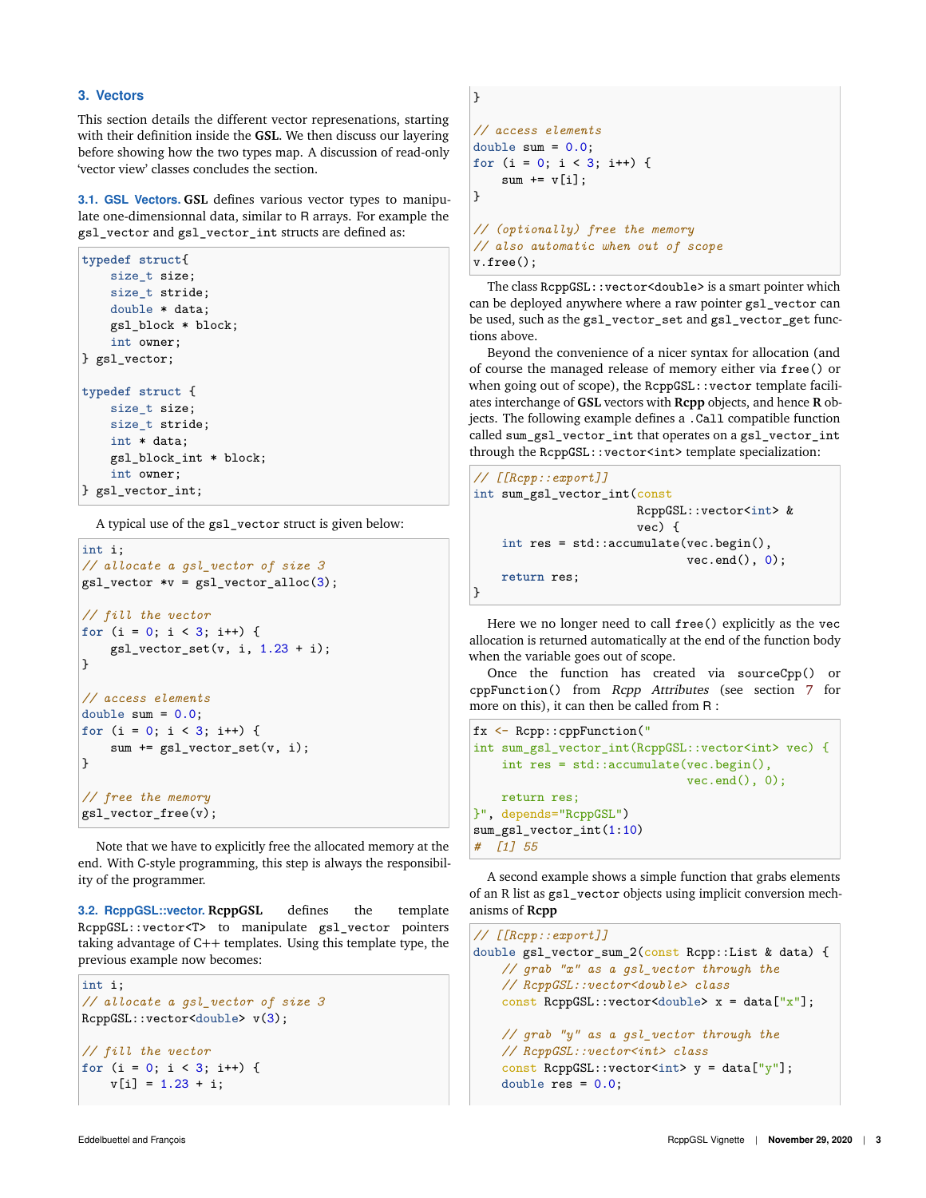## **3. Vectors**

This section details the different vector represenations, starting with their definition inside the **GSL**. We then discuss our layering before showing how the two types map. A discussion of read-only 'vector view' classes concludes the section.

**3.1. GSL Vectors. GSL** defines various vector types to manipulate one-dimensionnal data, similar to R arrays. For example the gsl\_vector and gsl\_vector\_int structs are defined as:

```
typedef struct{
   size_t size;
   size_t stride;
   double * data;
    gsl_block * block;
   int owner;
} gsl_vector;
typedef struct {
    size t size;
   size_t stride;
   int * data;
    gsl_block_int * block;
   int owner;
} gsl_vector_int;
```
A typical use of the gsl\_vector struct is given below:

```
int i;
// allocate a gsl_vector of size 3
gsl\_vector *v = gsl\_vector\_alloc(3);// fill the vector
for (i = 0; i < 3; i++) {
    gsl\_vector\_set(v, i, 1.23 + i);}
// access elements
double sum = 0.0;
for (i = 0; i < 3; i++) {
    sum += gsl_vector_set(v, i);
}
// free the memory
gsl_vector_free(v);
```
Note that we have to explicitly free the allocated memory at the end. With C-style programming, this step is always the responsibility of the programmer.

**3.2. RcppGSL::vector. RcppGSL** defines the template RcppGSL::vector<T> to manipulate gsl\_vector pointers taking advantage of C++ templates. Using this template type, the previous example now becomes:

```
int i;
// allocate a gsl_vector of size 3
RcppGSL::vector<double> v(3);
// fill the vector
for (i = 0; i < 3; i++) {
    v[i] = 1.23 + i;
```

```
}
// access elements
double sum = 0.0;
for (i = 0; i < 3; i++) {
   sum += v[i];
}
// (optionally) free the memory
// also automatic when out of scope
v.free();
```
The class RcppGSL::vector<double> is a smart pointer which can be deployed anywhere where a raw pointer gsl\_vector can be used, such as the gsl\_vector\_set and gsl\_vector\_get functions above.

Beyond the convenience of a nicer syntax for allocation (and of course the managed release of memory either via free() or when going out of scope), the RcppGSL::vector template faciliates interchange of **GSL** vectors with **Rcpp** objects, and hence **R** objects. The following example defines a .Call compatible function called sum gsl\_vector\_int that operates on a gsl\_vector\_int through the RcppGSL::vector<int> template specialization:

```
// [[Rcpp::export]]
int sum_gsl_vector_int(const
                         RcppGSL::vector<int> &
                         vec) {
    int res = std::accumulate(vec.begin(),
                                vec.end(), 0);
    return res;
\mathbf{R}
```
Here we no longer need to call free() explicitly as the vec allocation is returned automatically at the end of the function body when the variable goes out of scope.

Once the function has created via sourceCpp() or cppFunction() from Rcpp Attributes (see section 7 for more on this), it can then be called from R :

```
fx <- Rcpp::cppFunction("
int sum_gsl_vector_int(RcppGSL::vector<int> vec) {
   int res = std::accumulate(vec.begin(),
                              vec.end(), 0);
   return res;
}", depends="RcppGSL")
sum_gsl_vector_int(1:10)
# [1] 55
```
A second example shows a simple function that grabs elements of an R list as gsl\_vector objects using implicit conversion mechanisms of **Rcpp**

```
// [[Rcpp::export]]
double gsl_vector_sum_2(const Rcpp::List & data) {
   // grab "x" as a gsl_vector through the
   // RcppGSL::vector<double> class
   const RcppGSL::vector<double> x = data["x"];
   // grab "y" as a gsl_vector through the
   // RcppGSL::vector<int> class
   const RcppGSL::vector<int> y = data["y"];
   double res = 0.0;
```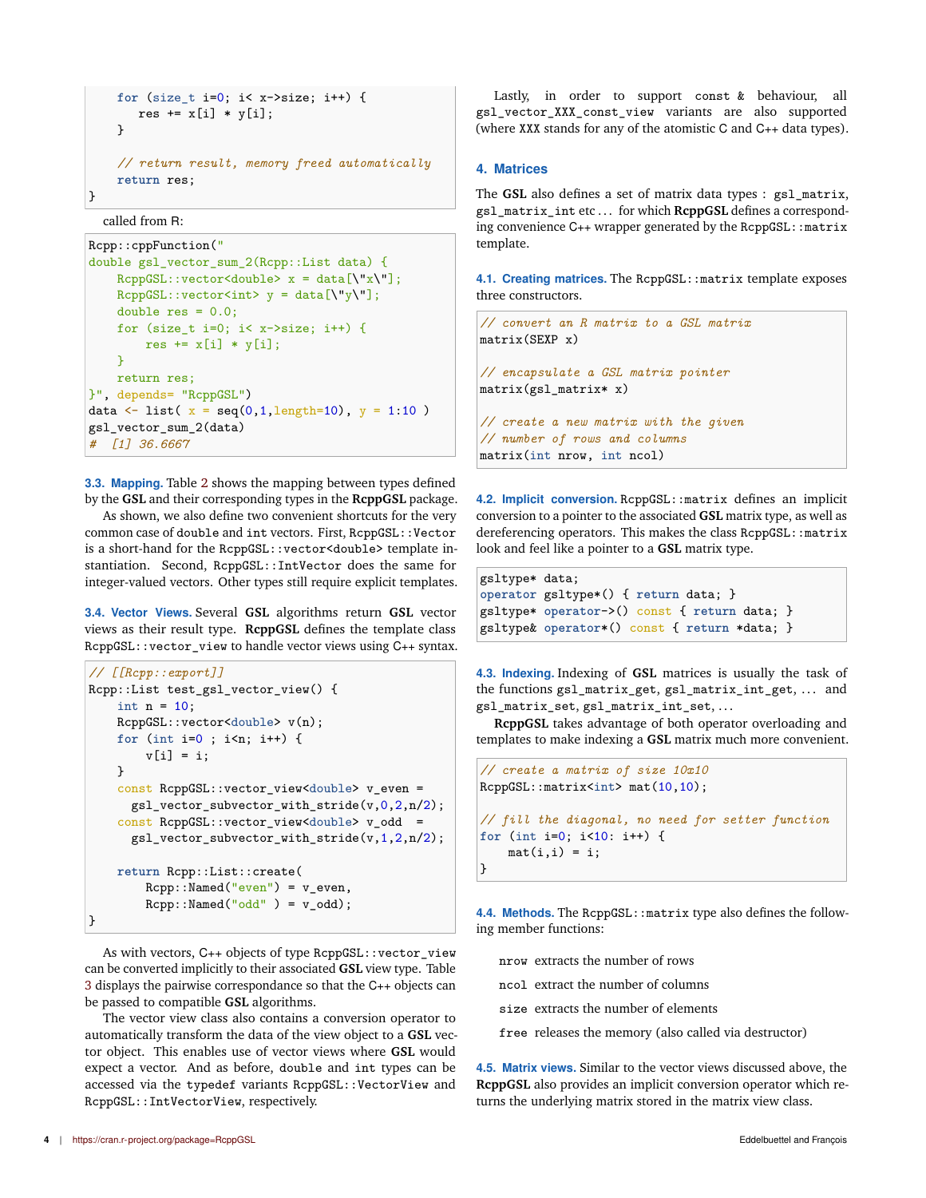```
for (size_t i=0; i< x->size; i++) {
       res += x[i] * y[i];}
    // return result, memory freed automatically
    return res;
\mathbf{R}
```
called from R:

```
Rcpp::cppFunction("
double gsl_vector_sum_2(Rcpp::List data) {
    RcppGSL::vector \leq double> x = data[\\ "x\\ "];RcppGSL::vector<int> y = data[ \Upsilon' y \Upsilon'] ;double res = 0.0;
    for (size_t i=0; i< x->size; i++) {
        res += x[i] * y[i];}
   return res;
}", depends= "RcppGSL")
data <- list(x = \text{seq}(0, 1, \text{length}=10), y = 1:10)
gsl vector sum 2(data)
# [1] 36.6667
```
**3.3. Mapping.** Table 2 shows the mapping between types defined by the **GSL** and their corresponding types in the **RcppGSL** package.

As shown, we also define two convenient shortcuts for the very common case of double and int vectors. First, RcppGSL:: Vector is a short-hand for the RcppGSL::vector<double> template instantiation. Second, RcppGSL::IntVector does the same for integer-valued vectors. Other types still require explicit templates.

**3.4. Vector Views.** Several **GSL** algorithms return **GSL** vector views as their result type. **RcppGSL** defines the template class RcppGSL::vector\_view to handle vector views using C++ syntax.

```
// [[Rcpp::export]]
Rcpp::List test_gsl_vector_view() {
    int n = 10;
    RcppGSL::vector<double> v(n);
    for (int i=0 ; i<n; i++) {
        v[i] = i;\mathbf{r}const RcppGSL::vector_view<double> v_even =
      gsl_vector_subvector_with_stride(v,0,2,n/2);
    const RcppGSL::vector_view<double> v_odd =
      gsl_vector_subvector_with_stride(v,1,2,n/2);
    return Rcpp::List::create(
        Rcpp::Named("even") = v_even,
        Rcpp::Named("odd" ) = v\_odd);}
```
As with vectors, C++ objects of type RcppGSL::vector\_view can be converted implicitly to their associated **GSL** view type. Table 3 displays the pairwise correspondance so that the C++ objects can be passed to compatible **GSL** algorithms.

The vector view class also contains a conversion operator to automatically transform the data of the view object to a **GSL** vector object. This enables use of vector views where **GSL** would expect a vector. And as before, double and int types can be accessed via the typedef variants RcppGSL::VectorView and RcppGSL::IntVectorView, respectively.

Lastly, in order to support const & behaviour, all gsl\_vector\_XXX\_const\_view variants are also supported (where XXX stands for any of the atomistic C and C++ data types).

# **4. Matrices**

The **GSL** also defines a set of matrix data types : gsl\_matrix, gsl\_matrix\_int etc . . . for which **RcppGSL** defines a corresponding convenience  $C_{++}$  wrapper generated by the RcppGSL: : matrix template.

**4.1. Creating matrices.** The RcppGSL: : matrix template exposes three constructors.

```
// convert an R matrix to a GSL matrix
matrix(SEXP x)
// encapsulate a GSL matrix pointer
matrix(gsl_matrix* x)
// create a new matrix with the given
// number of rows and columns
matrix(int nrow, int ncol)
```
**4.2. Implicit conversion.** RcppGSL::matrix defines an implicit conversion to a pointer to the associated **GSL** matrix type, as well as dereferencing operators. This makes the class RcppGSL::matrix look and feel like a pointer to a **GSL** matrix type.

```
gsltype* data;
operator gsltype*() { return data; }
gsltype* operator->() const { return data; }
gsltype& operator*() const { return *data; }
```
**4.3. Indexing.** Indexing of **GSL** matrices is usually the task of the functions gsl\_matrix\_get, gsl\_matrix\_int\_get, ... and gsl\_matrix\_set, gsl\_matrix\_int\_set, . . .

**RcppGSL** takes advantage of both operator overloading and templates to make indexing a **GSL** matrix much more convenient.

```
// create a matrix of size 10x10
RcppGSL::matrix<int> mat(10,10);
// fill the diagonal, no need for setter function
for (int i=0; i<10: i++) {
   mat(i,i) = i;}
```
**4.4. Methods.** The RcppGSL: : matrix type also defines the following member functions:

nrow extracts the number of rows

ncol extract the number of columns

size extracts the number of elements

free releases the memory (also called via destructor)

**4.5. Matrix views.** Similar to the vector views discussed above, the **RcppGSL** also provides an implicit conversion operator which returns the underlying matrix stored in the matrix view class.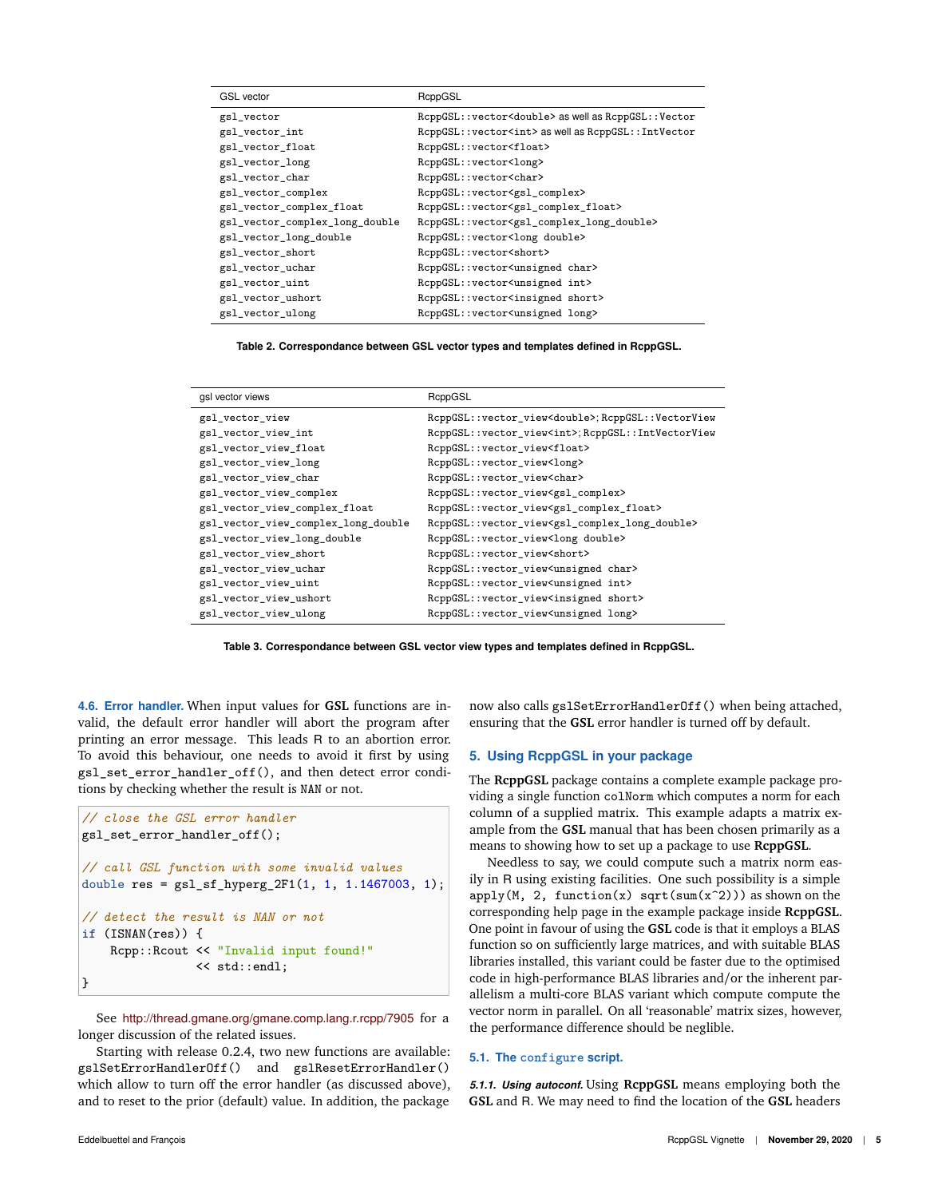| <b>GSL</b> vector              | RcppGSL                                                             |
|--------------------------------|---------------------------------------------------------------------|
| gsl_vector                     | RcppGSL::vector <double> as well as RcppGSL::Vector</double>        |
| gsl_vector_int                 | RcppGSL:: vector <int> as well as RcppGSL:: IntVector</int>         |
| gsl_vector_float               | RcppGSL::vector <float></float>                                     |
| gsl_vector_long                | RcppGSL::vector <long></long>                                       |
| gsl_vector_char                | RcppGSL::vector <char></char>                                       |
| gsl_vector_complex             | RcppGSL::vector <gsl_complex></gsl_complex>                         |
| gsl_vector_complex_float       | RcppGSL::vector <gsl_complex_float></gsl_complex_float>             |
| gsl_vector_complex_long_double | RcppGSL::vector <gsl_complex_long_double></gsl_complex_long_double> |
| gsl_vector_long_double         | RcppGSL::vector <long double=""></long>                             |
| gsl_vector_short               | RcppGSL::vector <short></short>                                     |
| gsl_vector_uchar               | RcppGSL::vector <unsigned char=""></unsigned>                       |
| gsl_vector_uint                | RcppGSL::vector <unsigned int=""></unsigned>                        |
| gsl_vector_ushort              | RcppGSL::vector <insigned short=""></insigned>                      |
| gsl_vector_ulong               | RcppGSL::vector <unsigned long=""></unsigned>                       |

**Table 2. Correspondance between GSL vector types and templates defined in RcppGSL.**

| RcppGSL                                                                  |
|--------------------------------------------------------------------------|
|                                                                          |
| RcppGSL::vector_view <double>;RcppGSL::VectorView</double>               |
| RcppGSL::vector_view <int>;RcppGSL::IntVectorView</int>                  |
| RcppGSL::vector_view <float></float>                                     |
| RcppGSL::vector_view <long></long>                                       |
| RcppGSL::vector_view <char></char>                                       |
| RcppGSL::vector_view <gsl_complex></gsl_complex>                         |
| RcppGSL::vector_view <gsl_complex_float></gsl_complex_float>             |
| RcppGSL::vector_view <gsl_complex_long_double></gsl_complex_long_double> |
| RcppGSL::vector_view <long double=""></long>                             |
| RcppGSL::vector_view <short></short>                                     |
| RcppGSL::vector_view <unsigned char=""></unsigned>                       |
| RcppGSL::vector_view <unsigned int=""></unsigned>                        |
| RcppGSL::vector_view <insigned short=""></insigned>                      |
| RcppGSL::vector_view <unsigned long=""></unsigned>                       |
|                                                                          |



**4.6. Error handler.** When input values for **GSL** functions are invalid, the default error handler will abort the program after printing an error message. This leads R to an abortion error. To avoid this behaviour, one needs to avoid it first by using gsl\_set\_error\_handler\_off(), and then detect error conditions by checking whether the result is NAN or not.

```
// close the GSL error handler
gsl_set_error_handler_off();
// call GSL function with some invalid values
double res = gsl_sf_hyperg_2F1(1, 1, 1.1467003, 1);// detect the result is NAN or not
if (ISNAN(res)) {
    Rcpp::Rcout << "Invalid input found!"
                << std::endl;
}
```
See http://thread.gmane.org/gmane.comp.lang.r.rcpp/7905 for a longer discussion of the related issues.

Starting with release 0.2.4, two new functions are available: gslSetErrorHandlerOff() and gslResetErrorHandler() which allow to turn off the error handler (as discussed above), and to reset to the prior (default) value. In addition, the package

now also calls gslSetErrorHandlerOff() when being attached, ensuring that the **GSL** error handler is turned off by default.

# **5. Using RcppGSL in your package**

The **RcppGSL** package contains a complete example package providing a single function colNorm which computes a norm for each column of a supplied matrix. This example adapts a matrix example from the **GSL** manual that has been chosen primarily as a means to showing how to set up a package to use **RcppGSL**.

Needless to say, we could compute such a matrix norm easily in R using existing facilities. One such possibility is a simple  $apply(M, 2, function(x) sqrt(sum(x<sup>2</sup>)))$  as shown on the corresponding help page in the example package inside **RcppGSL**. One point in favour of using the **GSL** code is that it employs a BLAS function so on sufficiently large matrices, and with suitable BLAS libraries installed, this variant could be faster due to the optimised code in high-performance BLAS libraries and/or the inherent parallelism a multi-core BLAS variant which compute compute the vector norm in parallel. On all 'reasonable' matrix sizes, however, the performance difference should be neglible.

### **5.1. The configure script.**

*5.1.1. Using autoconf.* Using **RcppGSL** means employing both the **GSL** and R. We may need to find the location of the **GSL** headers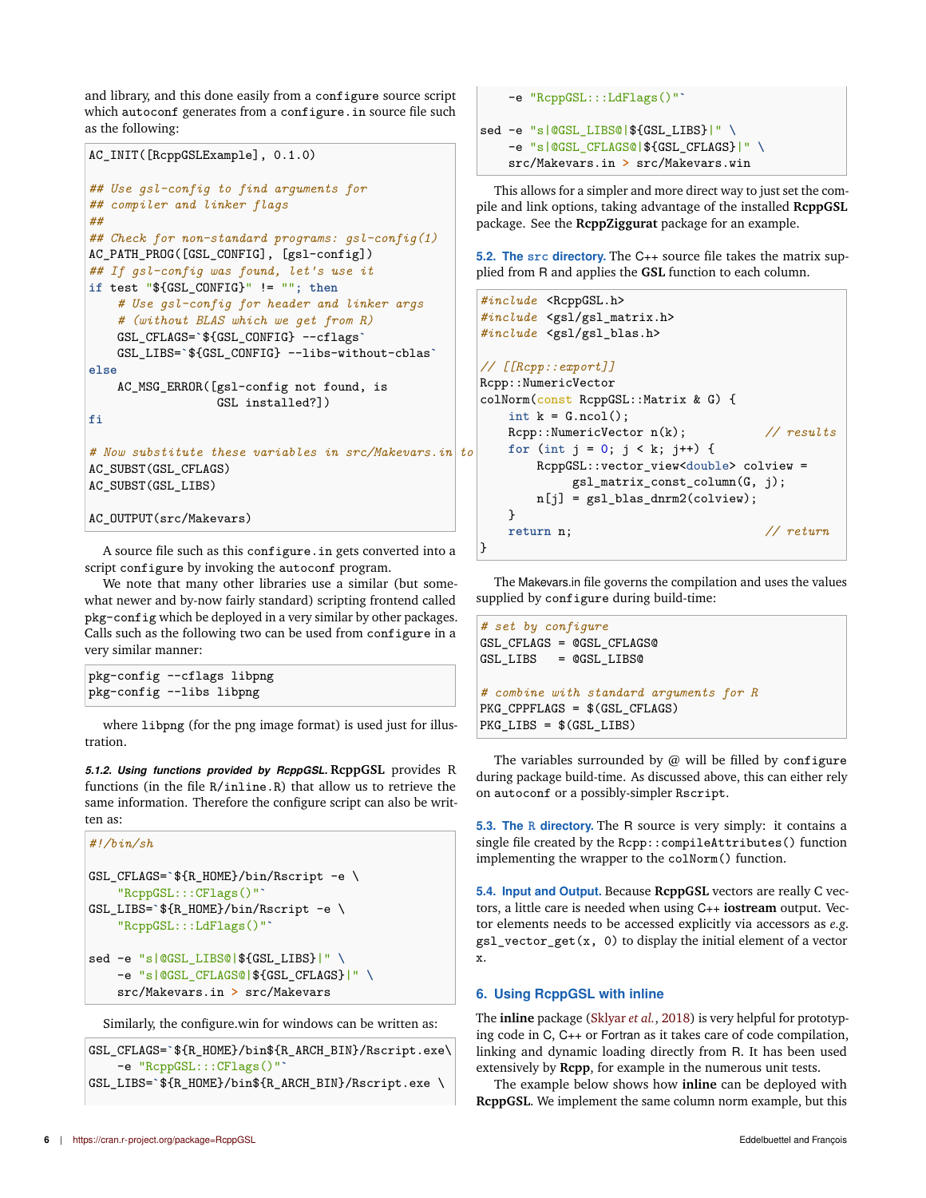and library, and this done easily from a configure source script which autoconf generates from a configure.in source file such as the following:

```
AC_INIT([RcppGSLExample], 0.1.0)
## Use gsl-config to find arguments for
## compiler and linker flags
##
## Check for non-standard programs: gsl-config(1)
AC_PATH_PROG([GSL_CONFIG], [gsl-config])
## If gsl-config was found, let's use it
if test "${GSL_CONFIG}" != ""; then
    # Use gsl-config for header and linker args
    # (without BLAS which we get from R)
    GSL_CFLAGS=`${GSL_CONFIG} --cflags`
    GSL_LIBS=`${GSL_CONFIG} --libs-without-cblas`
else
    AC_MSG_ERROR([gsl-config not found, is
                  GSL installed?])
fi
# Now substitute these variables in src/Makevars.in to create src/Makevars
AC_SUBST(GSL_CFLAGS)
AC_SUBST(GSL_LIBS)
AC_OUTPUT(src/Makevars)
```
A source file such as this configure.in gets converted into a script configure by invoking the autoconf program.

We note that many other libraries use a similar (but somewhat newer and by-now fairly standard) scripting frontend called pkg-config which be deployed in a very similar by other packages. Calls such as the following two can be used from configure in a very similar manner:

| pkg-config --cflags libpng |  |
|----------------------------|--|
| pkg-config --libs libpng   |  |

where libpng (for the png image format) is used just for illustration.

*5.1.2. Using functions provided by RcppGSL.* **RcppGSL** provides R functions (in the file R/inline.R) that allow us to retrieve the same information. Therefore the configure script can also be written as:

```
#!/bin/sh
GSL_CFLAGS=`${R_HOME}/bin/Rscript -e \
    "RcppGSL:::CFlags()"`
GSL LIBS=`${R HOME}/bin/Rscript -e \
    "RcppGSL:::LdFlags()"`
sed -e "s|@GSL_LIBS@|${GSL_LIBS}|" \
    -e "s|@GSL_CFLAGS@|${GSL_CFLAGS}|" \
    src/Makevars.in > src/Makevars
```
Similarly, the configure.win for windows can be written as:

```
GSL_CFLAGS=`${R_HOME}/bin${R_ARCH_BIN}/Rscript.exe\
    -e "RcppGSL:::CFlags()"`
GSL_LIBS=`${R_HOME}/bin${R_ARCH_BIN}/Rscript.exe \
```

```
-e "RcppGSL:::LdFlags()"`
sed -e "s|@GSL_LIBS@|${GSL_LIBS}|" \
   -e "s|@GSL_CFLAGS@|${GSL_CFLAGS}|" \
    src/Makevars.in > src/Makevars.win
```
This allows for a simpler and more direct way to just set the compile and link options, taking advantage of the installed **RcppGSL** package. See the **RcppZiggurat** package for an example.

**5.2. The src directory.** The C++ source file takes the matrix supplied from R and applies the **GSL** function to each column.

```
#include <RcppGSL.h>
#include <gsl/gsl_matrix.h>
#include <gsl/gsl_blas.h>
// [[Rcpp::export]]
Rcpp::NumericVector
colNorm(const RcppGSL::Matrix & G) {
    int k = G.ncol();
   Rcpp::NumericVector n(k); // results
    for (int j = 0; j < k; j^{++}) {
       RcppGSL::vector_view<double> colview =
            gsl_matrix_const_column(G, j);
       n[j] = gsl\_blas\_dnrm2(colver);}
   return n; // return
}
```
The Makevars.in file governs the compilation and uses the values supplied by configure during build-time:

```
# set by configure
GSL_CFLAGS = @GSL_CFLAGS@
GSL_LIBS = @GSL_LIBS@
# combine with standard arguments for R
PKG_CPPFLAGS = $(GSL_CFLAGS)
PKG_LIBS = $(GSL_LIBS)
```
The variables surrounded by  $@$  will be filled by configure during package build-time. As discussed above, this can either rely on autoconf or a possibly-simpler Rscript.

**5.3. The R directory.** The R source is very simply: it contains a single file created by the Rcpp::compileAttributes() function implementing the wrapper to the colNorm() function.

**5.4. Input and Output.** Because **RcppGSL** vectors are really C vectors, a little care is needed when using C++ **iostream** output. Vector elements needs to be accessed explicitly via accessors as *e.g.* gsl\_vector\_get(x, 0) to display the initial element of a vector x.

## **6. Using RcppGSL with inline**

The **inline** package (Sklyar *et al.*, 2018) is very helpful for prototyping code in C, C++ or Fortran as it takes care of code compilation, linking and dynamic loading directly from R. It has been used extensively by **Rcpp**, for example in the numerous unit tests.

The example below shows how **inline** can be deployed with **RcppGSL**. We implement the same column norm example, but this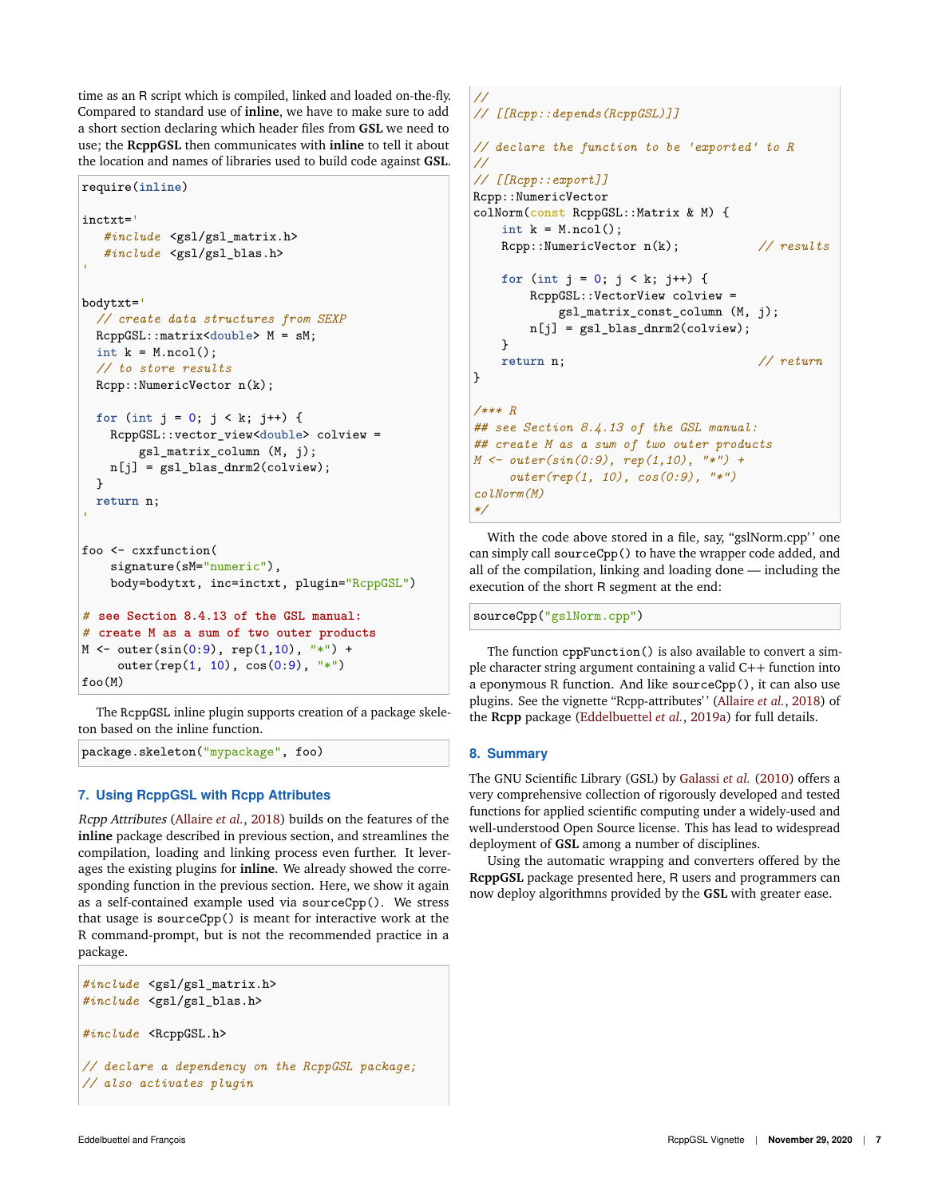time as an R script which is compiled, linked and loaded on-the-fly. Compared to standard use of **inline**, we have to make sure to add a short section declaring which header files from **GSL** we need to use; the **RcppGSL** then communicates with **inline** to tell it about the location and names of libraries used to build code against **GSL**.

```
require(inline)
inctxt='
   #include <gsl/gsl_matrix.h>
   #include <gsl/gsl_blas.h>
bodytxt='
 // create data structures from SEXP
 RcppGSL::matrix<double> M = sM;
 int k = M.ncol();
  // to store results
 Rcpp::NumericVector n(k);
 for (int j = 0; j < k; j++) {
   RcppGSL::vector_view<double> colview =
        gsl_matrix_column (M, j);
   n[j] = gsl\_blas\_dnrm2(colver);}
 return n;
foo <- cxxfunction(
    signature(sM="numeric"),
    body=bodytxt, inc=inctxt, plugin="RcppGSL")
# see Section 8.4.13 of the GSL manual:
# create M as a sum of two outer products
M <- outer(sin(0:9), rep(1,10), "*") +
```
outer(rep(1, 10), cos(0:9), "\*") foo(M)

The RcppGSL inline plugin supports creation of a package skeleton based on the inline function.

package.skeleton("mypackage", foo)

# **7. Using RcppGSL with Rcpp Attributes**

```
Rcpp Attributes (Allaire et al., 2018) builds on the features of the
inline package described in previous section, and streamlines the
compilation, loading and linking process even further. It lever-
ages the existing plugins for inline. We already showed the corre-
sponding function in the previous section. Here, we show it again
as a self-contained example used via sourceCpp(). We stress
that usage is sourceCpp() is meant for interactive work at the
R command-prompt, but is not the recommended practice in a
package.
```

```
#include <gsl/gsl_matrix.h>
#include <gsl/gsl_blas.h>
#include <RcppGSL.h>
// declare a dependency on the RcppGSL package;
// also activates plugin
```

```
//
// [[Rcpp::depends(RcppGSL)]]
// declare the function to be 'exported' to R
//
// [[Rcpp::export]]
Rcpp::NumericVector
colNorm(const RcppGSL::Matrix & M) {
   int k = M.ncol();
   Rcpp::NumericVector n(k); // results
   for (int j = 0; j < k; j++) {
       RcppGSL::VectorView colview =
           gsl_matrix_const_column (M, j);
       n[j] = gsl_blas_dnrm2(colview);
   }
   return n; // return
}
/*** R
## see Section 8.4.13 of the GSL manual:
## create M as a sum of two outer products
M <- outer(sin(0:9), rep(1,10), "*") +
    outer(rep(1, 10), cos(0:9), "*")
colNorm(M)
*/
```
With the code above stored in a file, say, "gslNorm.cpp" one can simply call sourceCpp() to have the wrapper code added, and all of the compilation, linking and loading done — including the execution of the short R segment at the end:

sourceCpp("gslNorm.cpp")

The function cppFunction() is also available to convert a simple character string argument containing a valid C++ function into a eponymous R function. And like sourceCpp(), it can also use plugins. See the vignette "Rcpp-attributes' ' (Allaire *et al.*, 2018) of the **Rcpp** package (Eddelbuettel *et al.*, 2019a) for full details.

## **8. Summary**

The GNU Scientific Library (GSL) by Galassi *et al.* (2010) offers a very comprehensive collection of rigorously developed and tested functions for applied scientific computing under a widely-used and well-understood Open Source license. This has lead to widespread deployment of **GSL** among a number of disciplines.

Using the automatic wrapping and converters offered by the **RcppGSL** package presented here, R users and programmers can now deploy algorithmns provided by the **GSL** with greater ease.